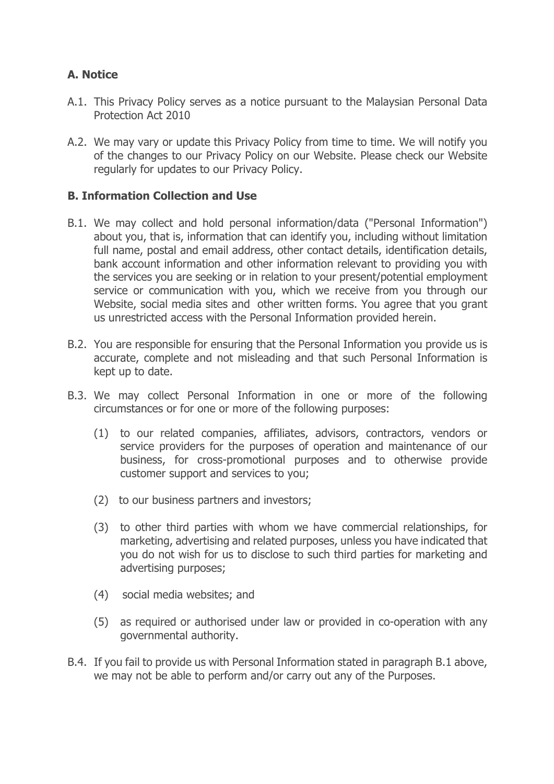# **A. Notice**

- A.1. This Privacy Policy serves as a notice pursuant to the Malaysian Personal Data Protection Act 2010
- A.2. We may vary or update this Privacy Policy from time to time. We will notify you of the changes to our Privacy Policy on our Website. Please check our Website regularly for updates to our Privacy Policy.

#### **B. Information Collection and Use**

- B.1. We may collect and hold personal information/data ("Personal Information") about you, that is, information that can identify you, including without limitation full name, postal and email address, other contact details, identification details, bank account information and other information relevant to providing you with the services you are seeking or in relation to your present/potential employment service or communication with you, which we receive from you through our Website, social media sites and other written forms. You agree that you grant us unrestricted access with the Personal Information provided herein.
- B.2. You are responsible for ensuring that the Personal Information you provide us is accurate, complete and not misleading and that such Personal Information is kept up to date.
- B.3. We may collect Personal Information in one or more of the following circumstances or for one or more of the following purposes:
	- (1) to our related companies, affiliates, advisors, contractors, vendors or service providers for the purposes of operation and maintenance of our business, for cross-promotional purposes and to otherwise provide customer support and services to you;
	- (2) to our business partners and investors;
	- (3) to other third parties with whom we have commercial relationships, for marketing, advertising and related purposes, unless you have indicated that you do not wish for us to disclose to such third parties for marketing and advertising purposes;
	- (4) social media websites; and
	- (5) as required or authorised under law or provided in co-operation with any governmental authority.
- B.4. If you fail to provide us with Personal Information stated in paragraph B.1 above, we may not be able to perform and/or carry out any of the Purposes.